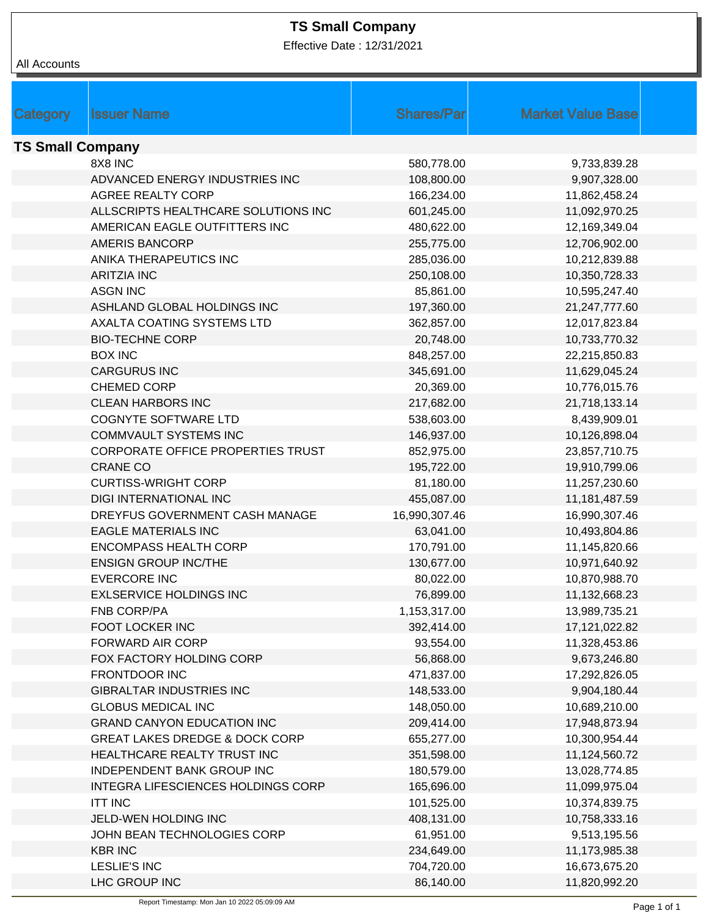## **TS Small Company**

Effective Date : 12/31/2021

| All Accounts            |                                           |                   |                          |  |  |  |
|-------------------------|-------------------------------------------|-------------------|--------------------------|--|--|--|
|                         |                                           |                   |                          |  |  |  |
|                         |                                           |                   |                          |  |  |  |
| <b>Category</b>         | <b>Issuer Name</b>                        | <b>Shares/Par</b> | <b>Market Value Base</b> |  |  |  |
| <b>TS Small Company</b> |                                           |                   |                          |  |  |  |
|                         | 8X8 INC                                   | 580,778.00        | 9,733,839.28             |  |  |  |
|                         | ADVANCED ENERGY INDUSTRIES INC            | 108,800.00        | 9,907,328.00             |  |  |  |
|                         | AGREE REALTY CORP                         | 166,234.00        | 11,862,458.24            |  |  |  |
|                         | ALLSCRIPTS HEALTHCARE SOLUTIONS INC       | 601,245.00        | 11,092,970.25            |  |  |  |
|                         | AMERICAN EAGLE OUTFITTERS INC             | 480,622.00        | 12,169,349.04            |  |  |  |
|                         | <b>AMERIS BANCORP</b>                     | 255,775.00        | 12,706,902.00            |  |  |  |
|                         | ANIKA THERAPEUTICS INC                    | 285,036.00        | 10,212,839.88            |  |  |  |
|                         | <b>ARITZIA INC</b>                        | 250,108.00        | 10,350,728.33            |  |  |  |
|                         | <b>ASGN INC</b>                           | 85,861.00         | 10,595,247.40            |  |  |  |
|                         | ASHLAND GLOBAL HOLDINGS INC               | 197,360.00        | 21,247,777.60            |  |  |  |
|                         | AXALTA COATING SYSTEMS LTD                | 362,857.00        | 12,017,823.84            |  |  |  |
|                         | <b>BIO-TECHNE CORP</b>                    | 20,748.00         | 10,733,770.32            |  |  |  |
|                         | <b>BOX INC</b>                            | 848,257.00        | 22,215,850.83            |  |  |  |
|                         | <b>CARGURUS INC</b>                       | 345,691.00        | 11,629,045.24            |  |  |  |
|                         | CHEMED CORP                               | 20,369.00         | 10,776,015.76            |  |  |  |
|                         | <b>CLEAN HARBORS INC</b>                  | 217,682.00        | 21,718,133.14            |  |  |  |
|                         | <b>COGNYTE SOFTWARE LTD</b>               | 538,603.00        | 8,439,909.01             |  |  |  |
|                         | <b>COMMVAULT SYSTEMS INC</b>              | 146,937.00        | 10,126,898.04            |  |  |  |
|                         | CORPORATE OFFICE PROPERTIES TRUST         | 852,975.00        | 23,857,710.75            |  |  |  |
|                         | <b>CRANE CO</b>                           | 195,722.00        | 19,910,799.06            |  |  |  |
|                         | <b>CURTISS-WRIGHT CORP</b>                | 81,180.00         | 11,257,230.60            |  |  |  |
|                         | <b>DIGI INTERNATIONAL INC</b>             | 455,087.00        | 11,181,487.59            |  |  |  |
|                         | DREYFUS GOVERNMENT CASH MANAGE            | 16,990,307.46     | 16,990,307.46            |  |  |  |
|                         | <b>EAGLE MATERIALS INC</b>                | 63,041.00         | 10,493,804.86            |  |  |  |
|                         | <b>ENCOMPASS HEALTH CORP</b>              | 170,791.00        | 11,145,820.66            |  |  |  |
|                         | <b>ENSIGN GROUP INC/THE</b>               | 130,677.00        | 10,971,640.92            |  |  |  |
|                         | <b>EVERCORE INC</b>                       | 80,022.00         | 10,870,988.70            |  |  |  |
|                         | <b>EXLSERVICE HOLDINGS INC</b>            | 76,899.00         | 11,132,668.23            |  |  |  |
|                         | <b>FNB CORP/PA</b>                        | 1,153,317.00      | 13,989,735.21            |  |  |  |
|                         | <b>FOOT LOCKER INC</b>                    | 392,414.00        | 17,121,022.82            |  |  |  |
|                         | FORWARD AIR CORP                          | 93,554.00         | 11,328,453.86            |  |  |  |
|                         | FOX FACTORY HOLDING CORP                  | 56,868.00         | 9,673,246.80             |  |  |  |
|                         | FRONTDOOR INC                             | 471,837.00        | 17,292,826.05            |  |  |  |
|                         | <b>GIBRALTAR INDUSTRIES INC</b>           | 148,533.00        | 9,904,180.44             |  |  |  |
|                         | <b>GLOBUS MEDICAL INC</b>                 | 148,050.00        | 10,689,210.00            |  |  |  |
|                         | <b>GRAND CANYON EDUCATION INC</b>         | 209,414.00        | 17,948,873.94            |  |  |  |
|                         | <b>GREAT LAKES DREDGE &amp; DOCK CORP</b> | 655,277.00        | 10,300,954.44            |  |  |  |
|                         | HEALTHCARE REALTY TRUST INC               | 351,598.00        | 11,124,560.72            |  |  |  |
|                         | INDEPENDENT BANK GROUP INC                | 180,579.00        | 13,028,774.85            |  |  |  |
|                         | INTEGRA LIFESCIENCES HOLDINGS CORP        | 165,696.00        | 11,099,975.04            |  |  |  |
|                         | <b>ITT INC</b>                            | 101,525.00        | 10,374,839.75            |  |  |  |
|                         | JELD-WEN HOLDING INC                      | 408,131.00        | 10,758,333.16            |  |  |  |
|                         | JOHN BEAN TECHNOLOGIES CORP               | 61,951.00         | 9,513,195.56             |  |  |  |
|                         | <b>KBR INC</b>                            | 234,649.00        | 11,173,985.38            |  |  |  |
|                         | <b>LESLIE'S INC</b>                       | 704,720.00        | 16,673,675.20            |  |  |  |
|                         | LHC GROUP INC                             | 86,140.00         | 11,820,992.20            |  |  |  |